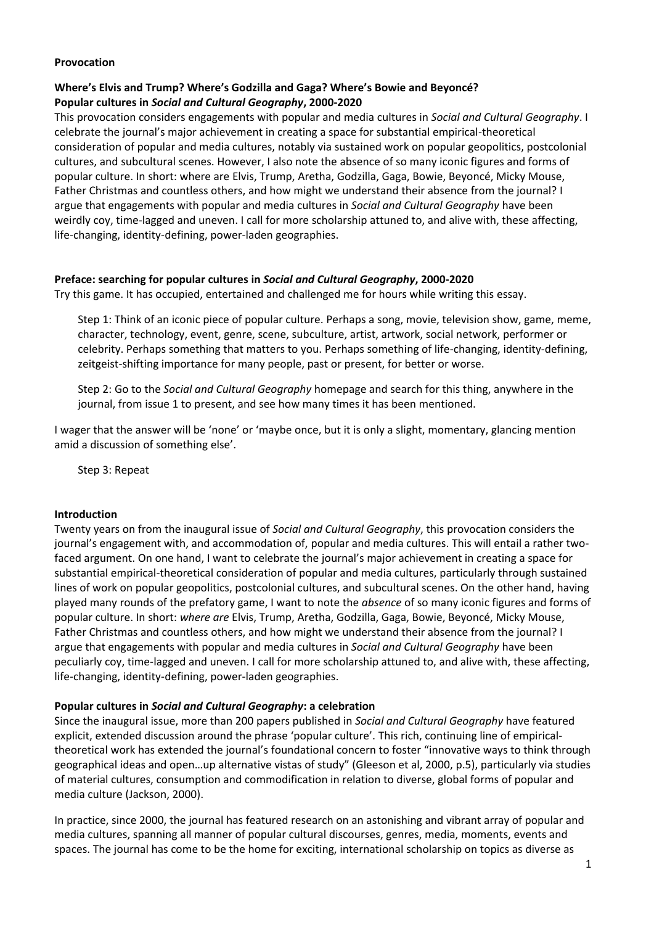### **Provocation**

## **Where's Elvis and Trump? Where's Godzilla and Gaga? Where's Bowie and Beyoncé? Popular cultures in** *Social and Cultural Geography***, 2000-2020**

This provocation considers engagements with popular and media cultures in *Social and Cultural Geography*. I celebrate the journal's major achievement in creating a space for substantial empirical-theoretical consideration of popular and media cultures, notably via sustained work on popular geopolitics, postcolonial cultures, and subcultural scenes. However, I also note the absence of so many iconic figures and forms of popular culture. In short: where are Elvis, Trump, Aretha, Godzilla, Gaga, Bowie, Beyoncé, Micky Mouse, Father Christmas and countless others, and how might we understand their absence from the journal? I argue that engagements with popular and media cultures in *Social and Cultural Geography* have been weirdly coy, time-lagged and uneven. I call for more scholarship attuned to, and alive with, these affecting, life-changing, identity-defining, power-laden geographies.

# **Preface: searching for popular cultures in** *Social and Cultural Geography***, 2000-2020**

Try this game. It has occupied, entertained and challenged me for hours while writing this essay.

Step 1: Think of an iconic piece of popular culture. Perhaps a song, movie, television show, game, meme, character, technology, event, genre, scene, subculture, artist, artwork, social network, performer or celebrity. Perhaps something that matters to you. Perhaps something of life-changing, identity-defining, zeitgeist-shifting importance for many people, past or present, for better or worse.

Step 2: Go to the *Social and Cultural Geography* homepage and search for this thing, anywhere in the journal, from issue 1 to present, and see how many times it has been mentioned.

I wager that the answer will be 'none' or 'maybe once, but it is only a slight, momentary, glancing mention amid a discussion of something else'.

Step 3: Repeat

## **Introduction**

Twenty years on from the inaugural issue of *Social and Cultural Geography*, this provocation considers the journal's engagement with, and accommodation of, popular and media cultures. This will entail a rather twofaced argument. On one hand, I want to celebrate the journal's major achievement in creating a space for substantial empirical-theoretical consideration of popular and media cultures, particularly through sustained lines of work on popular geopolitics, postcolonial cultures, and subcultural scenes. On the other hand, having played many rounds of the prefatory game, I want to note the *absence* of so many iconic figures and forms of popular culture. In short: *where are* Elvis, Trump, Aretha, Godzilla, Gaga, Bowie, Beyoncé, Micky Mouse, Father Christmas and countless others, and how might we understand their absence from the journal? I argue that engagements with popular and media cultures in *Social and Cultural Geography* have been peculiarly coy, time-lagged and uneven. I call for more scholarship attuned to, and alive with, these affecting, life-changing, identity-defining, power-laden geographies.

## **Popular cultures in** *Social and Cultural Geography***: a celebration**

Since the inaugural issue, more than 200 papers published in *Social and Cultural Geography* have featured explicit, extended discussion around the phrase 'popular culture'. This rich, continuing line of empiricaltheoretical work has extended the journal's foundational concern to foster "innovative ways to think through geographical ideas and open…up alternative vistas of study" (Gleeson et al, 2000, p.5), particularly via studies of material cultures, consumption and commodification in relation to diverse, global forms of popular and media culture (Jackson, 2000).

In practice, since 2000, the journal has featured research on an astonishing and vibrant array of popular and media cultures, spanning all manner of popular cultural discourses, genres, media, moments, events and spaces. The journal has come to be the home for exciting, international scholarship on topics as diverse as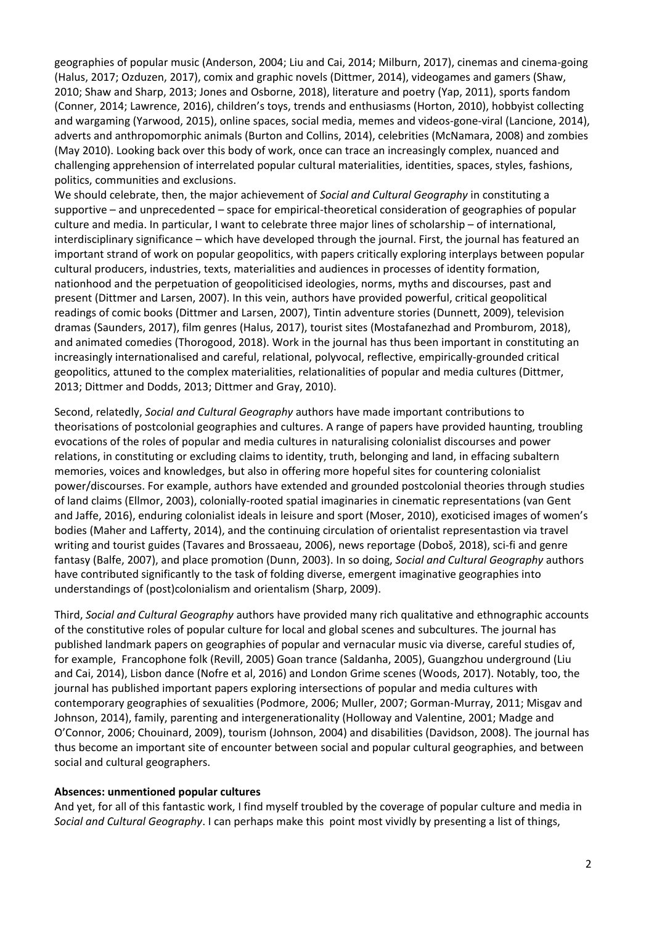geographies of popular music (Anderson, 2004; Liu and Cai, 2014; Milburn, 2017), cinemas and cinema-going (Halus, 2017; Ozduzen, 2017), comix and graphic novels (Dittmer, 2014), videogames and gamers (Shaw, 2010; Shaw and Sharp, 2013; Jones and Osborne, 2018), literature and poetry (Yap, 2011), sports fandom (Conner, 2014; Lawrence, 2016), children's toys, trends and enthusiasms (Horton, 2010), hobbyist collecting and wargaming (Yarwood, 2015), online spaces, social media, memes and videos-gone-viral (Lancione, 2014), adverts and anthropomorphic animals (Burton and Collins, 2014), celebrities (McNamara, 2008) and zombies (May 2010). Looking back over this body of work, once can trace an increasingly complex, nuanced and challenging apprehension of interrelated popular cultural materialities, identities, spaces, styles, fashions, politics, communities and exclusions.

We should celebrate, then, the major achievement of *Social and Cultural Geography* in constituting a supportive – and unprecedented – space for empirical-theoretical consideration of geographies of popular culture and media. In particular, I want to celebrate three major lines of scholarship – of international, interdisciplinary significance – which have developed through the journal. First, the journal has featured an important strand of work on popular geopolitics, with papers critically exploring interplays between popular cultural producers, industries, texts, materialities and audiences in processes of identity formation, nationhood and the perpetuation of geopoliticised ideologies, norms, myths and discourses, past and present (Dittmer and Larsen, 2007). In this vein, authors have provided powerful, critical geopolitical readings of comic books (Dittmer and Larsen, 2007), Tintin adventure stories (Dunnett, 2009), television dramas (Saunders, 2017), film genres (Halus, 2017), tourist sites (Mostafanezhad and Promburom, 2018), and animated comedies (Thorogood, 2018). Work in the journal has thus been important in constituting an increasingly internationalised and careful, relational, polyvocal, reflective, empirically-grounded critical geopolitics, attuned to the complex materialities, relationalities of popular and media cultures (Dittmer, 2013; Dittmer and Dodds, 2013; Dittmer and Gray, 2010).

Second, relatedly, *Social and Cultural Geography* authors have made important contributions to theorisations of postcolonial geographies and cultures. A range of papers have provided haunting, troubling evocations of the roles of popular and media cultures in naturalising colonialist discourses and power relations, in constituting or excluding claims to identity, truth, belonging and land, in effacing subaltern memories, voices and knowledges, but also in offering more hopeful sites for countering colonialist power/discourses. For example, authors have extended and grounded postcolonial theories through studies of land claims (Ellmor, 2003), colonially-rooted spatial imaginaries in cinematic representations (van Gent and Jaffe, 2016), enduring colonialist ideals in leisure and sport (Moser, 2010), exoticised images of women's bodies (Maher and Lafferty, 2014), and the continuing circulation of orientalist representastion via travel writing and tourist guides (Tavares and Brossaeau, 2006), news reportage (Doboš, 2018), sci-fi and genre fantasy (Balfe, 2007), and place promotion (Dunn, 2003). In so doing, *Social and Cultural Geography* authors have contributed significantly to the task of folding diverse, emergent imaginative geographies into understandings of (post)colonialism and orientalism (Sharp, 2009).

Third, *Social and Cultural Geography* authors have provided many rich qualitative and ethnographic accounts of the constitutive roles of popular culture for local and global scenes and subcultures. The journal has published landmark papers on geographies of popular and vernacular music via diverse, careful studies of, for example, Francophone folk (Revill, 2005) Goan trance (Saldanha, 2005), Guangzhou underground (Liu and Cai, 2014), Lisbon dance (Nofre et al, 2016) and London Grime scenes (Woods, 2017). Notably, too, the journal has published important papers exploring intersections of popular and media cultures with contemporary geographies of sexualities (Podmore, 2006; Muller, 2007; Gorman-Murray, 2011; Misgav and Johnson, 2014), family, parenting and intergenerationality (Holloway and Valentine, 2001; Madge and O'Connor, 2006; Chouinard, 2009), tourism (Johnson, 2004) and disabilities (Davidson, 2008). The journal has thus become an important site of encounter between social and popular cultural geographies, and between social and cultural geographers.

### **Absences: unmentioned popular cultures**

And yet, for all of this fantastic work, I find myself troubled by the coverage of popular culture and media in *Social and Cultural Geography*. I can perhaps make this point most vividly by presenting a list of things,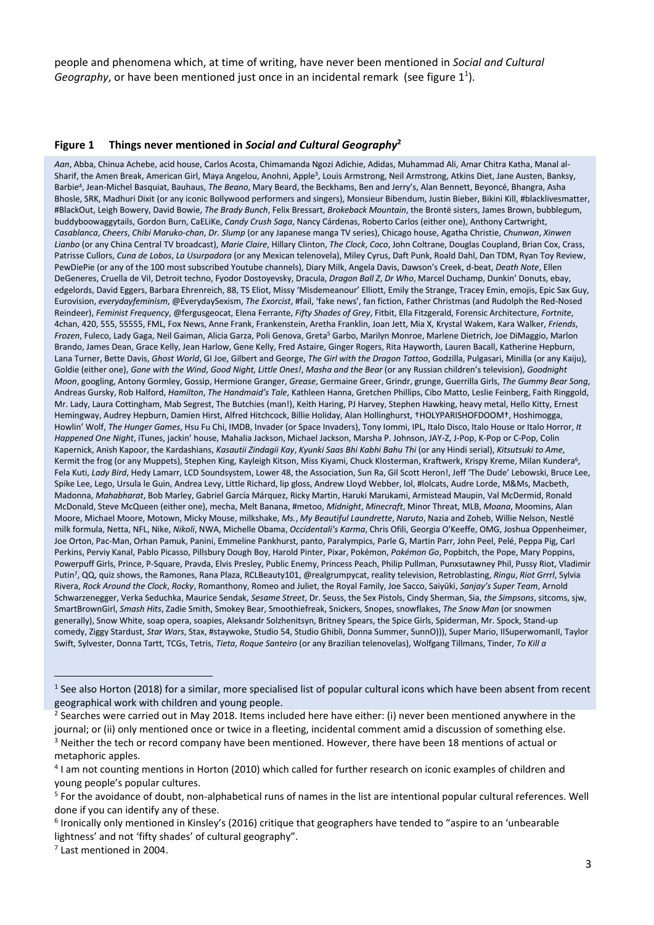people and phenomena which, at time of writing, have never been mentioned in *Social and Cultural*  Geography, or have been mentioned just once in an incidental remark (see figure 1<sup>1</sup>).

#### **Figure 1 Things never mentioned in** *Social and Cultural Geography***<sup>2</sup>**

*Aan*, Abba, Chinua Achebe, acid house, Carlos Acosta, Chimamanda Ngozi Adichie, Adidas, Muhammad Ali, Amar Chitra Katha, Manal al-Sharif, the Amen Break, American Girl, Maya Angelou, Anohni, Apple<sup>3</sup>, Louis Armstrong, Neil Armstrong, Atkins Diet, Jane Austen, Banksy, Barbie<sup>4</sup>, Jean-Michel Basquiat, Bauhaus, *The Beano*, Mary Beard, the Beckhams, Ben and Jerry's, Alan Bennett, Beyoncé, Bhangra, Asha Bhosle, SRK, Madhuri Dixit (or any iconic Bollywood performers and singers), Monsieur Bibendum, Justin Bieber, Bikini Kill, #blacklivesmatter, #BlackOut, Leigh Bowery, David Bowie, *The Brady Bunch*, Felix Bressart, *Brokeback Mountain*, the Brontë sisters, James Brown, bubblegum, buddyboowaggytails, Gordon Burn, CaELiKe, *Candy Crush Saga*, Nancy Cárdenas, Roberto Carlos (either one), Anthony Cartwright, *Casablanca*, *Cheers*, *Chibi Maruko-chan*, *Dr. Slump* (or any Japanese manga TV series), Chicago house, Agatha Christie, *Chunwan*, *Xinwen Lianbo* (or any China Central TV broadcast), *Marie Claire*, Hillary Clinton, *The Clock*, *Coco*, John Coltrane, Douglas Coupland, Brian Cox, Crass, Patrisse Cullors, *Cuna de Lobos*, *La Usurpadora* (or any Mexican telenovela), Miley Cyrus, Daft Punk, Roald Dahl, Dan TDM, Ryan Toy Review, PewDiePie (or any of the 100 most subscribed Youtube channels), Diary Milk, Angela Davis, Dawson's Creek, d-beat, *Death Note*, Ellen DeGeneres, Cruella de Vil, Detroit techno, Fyodor Dostoyevsky, Dracula, *Dragon Ball Z*, *Dr Who*, Marcel Duchamp, Dunkin' Donuts, ebay, edgelords, David Eggers, Barbara Ehrenreich, 88, TS Eliot, Missy 'Misdemeanour' Elliott, Emily the Strange, Tracey Emin, emojis, Epic Sax Guy, Eurovision, *everydayfeminism*, @EverydaySexism, *The Exorcist*, #fail, 'fake news', fan fiction, Father Christmas (and Rudolph the Red-Nosed Reindeer), *Feminist Frequency*, @fergusgeocat, Elena Ferrante, *Fifty Shades of Grey*, Fitbit, Ella Fitzgerald, Forensic Architecture, *Fortnite*, 4chan, 420, 555, 55555, FML, Fox News, Anne Frank, Frankenstein, Aretha Franklin, Joan Jett, Mia X, Krystal Wakem, Kara Walker, *Friends*, Frozen, Fuleco, Lady Gaga, Neil Gaiman, Alicia Garza, Poli Genova, Greta<sup>5</sup> Garbo, Marilyn Monroe, Marlene Dietrich, Joe DiMaggio, Marlon Brando, James Dean, Grace Kelly, Jean Harlow, Gene Kelly, Fred Astaire, Ginger Rogers, Rita Hayworth, Lauren Bacall, Katherine Hepburn, Lana Turner, Bette Davis, *Ghost World*, GI Joe, Gilbert and George, *The Girl with the Dragon Tattoo*, Godzilla, Pulgasari, Minilla (or any Kaiju), Goldie (either one), *Gone with the Wind*, *Good Night, Little Ones!*, *Masha and the Bear* (or any Russian children's television), *Goodnight Moon*, googling, Antony Gormley, Gossip, Hermione Granger, *Grease*, Germaine Greer, Grindr, grunge, Guerrilla Girls, *The Gummy Bear Song*, Andreas Gursky, Rob Halford, *Hamilton*, *The Handmaid's Tale*, Kathleen Hanna, Gretchen Phillips, Cibo Matto, Leslie Feinberg, Faith Ringgold, Mr. Lady, Laura Cottingham, Mab Segrest, The Butchies (man!), Keith Haring, PJ Harvey, Stephen Hawking, heavy metal, Hello Kitty, Ernest Hemingway, Audrey Hepburn, Damien Hirst, Alfred Hitchcock, Billie Holiday, Alan Hollinghurst, †HOLYPARISHOFDOOM†, Hoshimogga, Howlin' Wolf, *The Hunger Games*, Hsu Fu Chi, IMDB, Invader (or Space Invaders), Tony Iommi, IPL, Italo Disco, Italo House or Italo Horror, *It Happened One Night*, iTunes, jackin' house, Mahalia Jackson, Michael Jackson, Marsha P. Johnson, JAY-Z, J-Pop, K-Pop or C-Pop, Colin Kapernick, Anish Kapoor, the Kardashians, *Kasautii Zindagii Kay*, *Kyunki Saas Bhi Kabhi Bahu Thi* (or any Hindi serial), *Kitsutsuki to Ame*, Kermit the frog (or any Muppets), Stephen King, Kayleigh Kitson, Miss Kiyami, Chuck Klosterman, Kraftwerk, Krispy Kreme, Milan Kundera<sup>6</sup>, Fela Kuti, *Lady Bird*, Hedy Lamarr, LCD Soundsystem, Lower 48, the Association, Sun Ra, Gil Scott Heron!, Jeff 'The Dude' Lebowski, Bruce Lee, Spike Lee, Lego, Ursula le Guin, Andrea Levy, Little Richard, lip gloss, Andrew Lloyd Webber, lol, #lolcats, Audre Lorde, M&Ms, Macbeth, Madonna, *Mahabharat*, Bob Marley, Gabriel García Márquez, Ricky Martin, Haruki Marukami, Armistead Maupin, Val McDermid, Ronald McDonald, Steve McQueen (either one), mecha, Melt Banana, #metoo, *Midnight*, *Minecraft*, Minor Threat, MLB, *Moana*, Moomins, Alan Moore, Michael Moore, Motown, Micky Mouse, milkshake, *Ms.*, *My Beautiful Laundrette*, *Naruto*, Nazia and Zoheb, Willie Nelson, Nestlé milk formula, Netta, NFL, Nike, *Nikoli*, NWA, Michelle Obama, *Occidentali's Karma*, Chris Ofili, Georgia O'Keeffe, OMG, Joshua Oppenheimer, Joe Orton, Pac-Man, Orhan Pamuk, Panini, Emmeline Pankhurst, panto, Paralympics, Parle G, Martin Parr, John Peel, Pelé, Peppa Pig, Carl Perkins, Perviy Kanal, Pablo Picasso, Pillsbury Dough Boy, Harold Pinter, Pixar, Pokémon, *Pokémon Go*, Popbitch, the Pope, Mary Poppins, Powerpuff Girls, Prince, P-Square, Pravda, Elvis Presley, Public Enemy, Princess Peach, Philip Pullman, Punxsutawney Phil, Pussy Riot, Vladimir Putin<sup>7</sup> , QQ, quiz shows, the Ramones, Rana Plaza, RCLBeauty101, @realgrumpycat, reality television, Retroblasting, *Ringu*, *Riot Grrrl*, Sylvia Rivera, *Rock Around the Clock*, *Rocky*, Romanthony, Romeo and Juliet, the Royal Family, Joe Sacco, Saiyūki, *Sanjay's Super Team*, Arnold Schwarzenegger, Verka Seduchka, Maurice Sendak, *Sesame Street*, Dr. Seuss, the Sex Pistols, Cindy Sherman, Sia, *the Simpsons*, sitcoms, sjw, SmartBrownGirl, *Smash Hits*, Zadie Smith, Smokey Bear, Smoothiefreak, Snickers, Snopes, snowflakes, *The Snow Man* (or snowmen generally), Snow White, soap opera, soapies, Aleksandr Solzhenitsyn, Britney Spears, the Spice Girls, Spiderman, Mr. Spock, Stand-up comedy, Ziggy Stardust, *Star Wars*, Stax, #staywoke, Studio 54, Studio Ghibli, Donna Summer, SunnO))), Super Mario, IISuperwomanII, Taylor Swift, Sylvester, Donna Tartt, TCGs, Tetris, *Tieta*, *Roque Santeiro* (or any Brazilian telenovelas), Wolfgang Tillmans, Tinder, *To Kill a* 

 $1$  See also Horton (2018) for a similar, more specialised list of popular cultural icons which have been absent from recent geographical work with children and young people.

<sup>&</sup>lt;sup>2</sup> Searches were carried out in May 2018. Items included here have either: (i) never been mentioned anywhere in the journal; or (ii) only mentioned once or twice in a fleeting, incidental comment amid a discussion of something else. <sup>3</sup> Neither the tech or record company have been mentioned. However, there have been 18 mentions of actual or metaphoric apples.

<sup>&</sup>lt;sup>4</sup> I am not counting mentions in Horton (2010) which called for further research on iconic examples of children and young people's popular cultures.

<sup>&</sup>lt;sup>5</sup> For the avoidance of doubt, non-alphabetical runs of names in the list are intentional popular cultural references. Well done if you can identify any of these.

<sup>&</sup>lt;sup>6</sup> Ironically only mentioned in Kinsley's (2016) critique that geographers have tended to "aspire to an 'unbearable lightness' and not 'fifty shades' of cultural geography".

<sup>&</sup>lt;sup>7</sup> Last mentioned in 2004.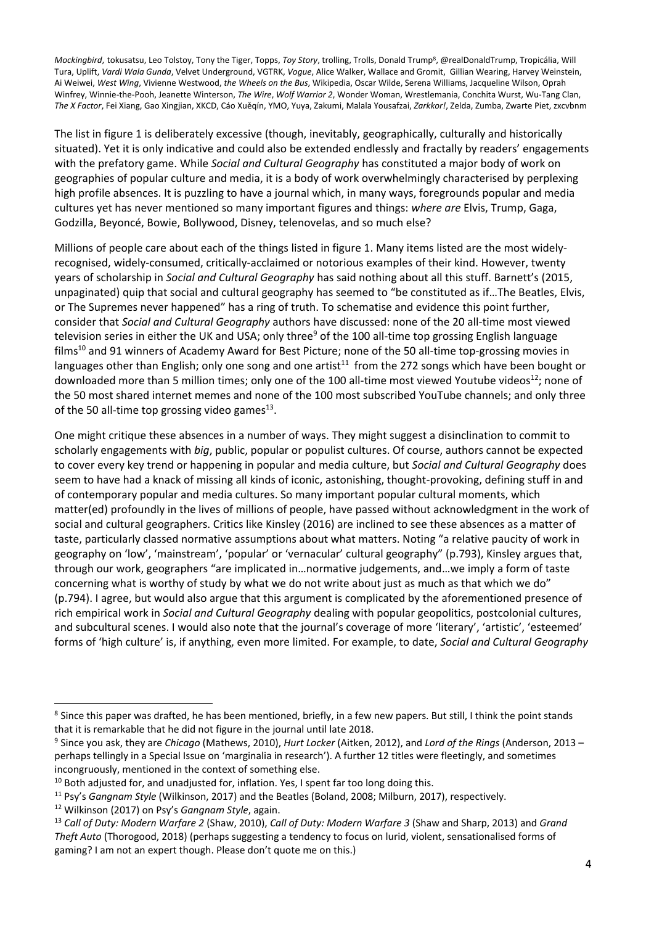Mockingbird, tokusatsu, Leo Tolstoy, Tony the Tiger, Topps, *Toy Story*, trolling, Trolls, Donald Trump<sup>8</sup>, @realDonaldTrump, Tropicália, Will Tura, Uplift, *Vardi Wala Gunda*, Velvet Underground, VGTRK, *Vogue*, Alice Walker, Wallace and Gromit, Gillian Wearing, Harvey Weinstein, Ai Weiwei, *West Wing*, Vivienne Westwood, *the Wheels on the Bus*, Wikipedia, Oscar Wilde, Serena Williams, Jacqueline Wilson, Oprah Winfrey, Winnie-the-Pooh, Jeanette Winterson, *The Wire*, *Wolf Warrior 2*, Wonder Woman, Wrestlemania, Conchita Wurst, Wu-Tang Clan, *The X Factor*, Fei Xiang, Gao Xingjian, XKCD, Cáo Xuěqín, YMO, Yuya, Zakumi, Malala Yousafzai, *Zarkkor!*, Zelda, Zumba, Zwarte Piet, zxcvbnm

The list in figure 1 is deliberately excessive (though, inevitably, geographically, culturally and historically situated). Yet it is only indicative and could also be extended endlessly and fractally by readers' engagements with the prefatory game. While *Social and Cultural Geography* has constituted a major body of work on geographies of popular culture and media, it is a body of work overwhelmingly characterised by perplexing high profile absences. It is puzzling to have a journal which, in many ways, foregrounds popular and media cultures yet has never mentioned so many important figures and things: *where are* Elvis, Trump, Gaga, Godzilla, Beyoncé, Bowie, Bollywood, Disney, telenovelas, and so much else?

Millions of people care about each of the things listed in figure 1. Many items listed are the most widelyrecognised, widely-consumed, critically-acclaimed or notorious examples of their kind. However, twenty years of scholarship in *Social and Cultural Geography* has said nothing about all this stuff. Barnett's (2015, unpaginated) quip that social and cultural geography has seemed to "be constituted as if…The Beatles, Elvis, or The Supremes never happened" has a ring of truth. To schematise and evidence this point further, consider that *Social and Cultural Geography* authors have discussed: none of the 20 all-time most viewed television series in either the UK and USA; only three<sup>9</sup> of the 100 all-time top grossing English language films<sup>10</sup> and 91 winners of Academy Award for Best Picture; none of the 50 all-time top-grossing movies in languages other than English; only one song and one artist<sup>11</sup> from the 272 songs which have been bought or downloaded more than 5 million times; only one of the 100 all-time most viewed Youtube videos<sup>12</sup>; none of the 50 most shared internet memes and none of the 100 most subscribed YouTube channels; and only three of the 50 all-time top grossing video games<sup>13</sup>.

One might critique these absences in a number of ways. They might suggest a disinclination to commit to scholarly engagements with *big*, public, popular or populist cultures. Of course, authors cannot be expected to cover every key trend or happening in popular and media culture, but *Social and Cultural Geography* does seem to have had a knack of missing all kinds of iconic, astonishing, thought-provoking, defining stuff in and of contemporary popular and media cultures. So many important popular cultural moments, which matter(ed) profoundly in the lives of millions of people, have passed without acknowledgment in the work of social and cultural geographers. Critics like Kinsley (2016) are inclined to see these absences as a matter of taste, particularly classed normative assumptions about what matters. Noting "a relative paucity of work in geography on 'low', 'mainstream', 'popular' or 'vernacular' cultural geography" (p.793), Kinsley argues that, through our work, geographers "are implicated in…normative judgements, and…we imply a form of taste concerning what is worthy of study by what we do not write about just as much as that which we do" (p.794). I agree, but would also argue that this argument is complicated by the aforementioned presence of rich empirical work in *Social and Cultural Geography* dealing with popular geopolitics, postcolonial cultures, and subcultural scenes. I would also note that the journal's coverage of more 'literary', 'artistic', 'esteemed' forms of 'high culture' is, if anything, even more limited. For example, to date, *Social and Cultural Geography*

 $\overline{a}$ 

<sup>&</sup>lt;sup>8</sup> Since this paper was drafted, he has been mentioned, briefly, in a few new papers. But still, I think the point stands that it is remarkable that he did not figure in the journal until late 2018.

<sup>9</sup> Since you ask, they are *Chicago* (Mathews, 2010), *Hurt Locker* (Aitken, 2012), and *Lord of the Rings* (Anderson, 2013 – perhaps tellingly in a Special Issue on 'marginalia in research'). A further 12 titles were fleetingly, and sometimes incongruously, mentioned in the context of something else.

 $10$  Both adjusted for, and unadjusted for, inflation. Yes, I spent far too long doing this.

<sup>11</sup> Psy's *Gangnam Style* (Wilkinson, 2017) and the Beatles (Boland, 2008; Milburn, 2017), respectively.

<sup>12</sup> Wilkinson (2017) on Psy's *Gangnam Style*, again.

<sup>13</sup> *Call of Duty: Modern Warfare 2* (Shaw, 2010), *Call of Duty: Modern Warfare 3* (Shaw and Sharp, 2013) and *Grand Theft Auto* (Thorogood, 2018) (perhaps suggesting a tendency to focus on lurid, violent, sensationalised forms of gaming? I am not an expert though. Please don't quote me on this.)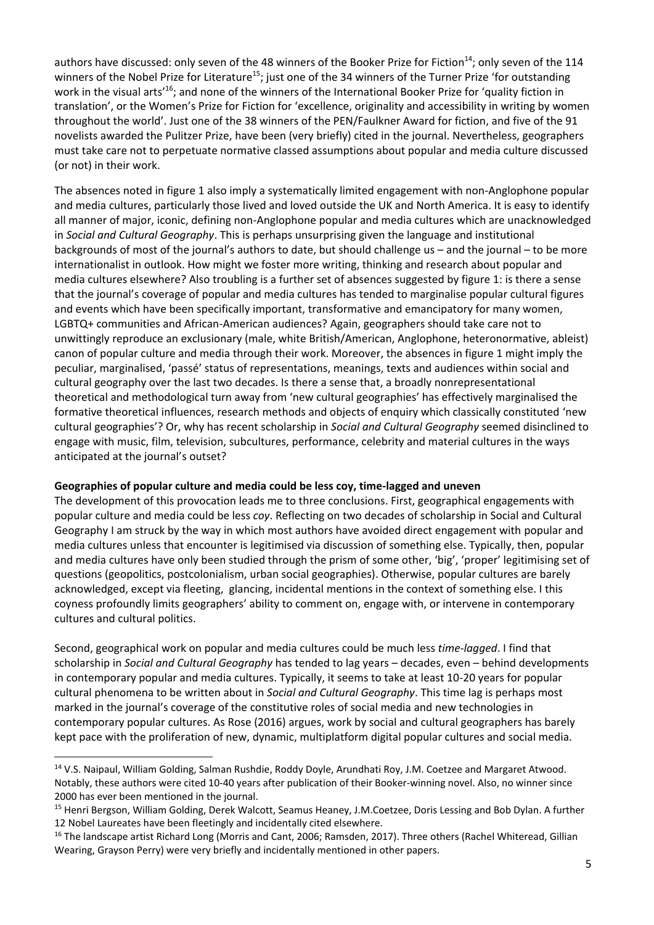authors have discussed: only seven of the 48 winners of the Booker Prize for Fiction<sup>14</sup>; only seven of the 114 winners of the Nobel Prize for Literature<sup>15</sup>; just one of the 34 winners of the Turner Prize 'for outstanding work in the visual arts<sup>16</sup>; and none of the winners of the International Booker Prize for 'quality fiction in translation', or the Women's Prize for Fiction for 'excellence, originality and accessibility in writing by women throughout the world'. Just one of the 38 winners of the PEN/Faulkner Award for fiction, and five of the 91 novelists awarded the Pulitzer Prize, have been (very briefly) cited in the journal. Nevertheless, geographers must take care not to perpetuate normative classed assumptions about popular and media culture discussed (or not) in their work.

The absences noted in figure 1 also imply a systematically limited engagement with non-Anglophone popular and media cultures, particularly those lived and loved outside the UK and North America. It is easy to identify all manner of major, iconic, defining non-Anglophone popular and media cultures which are unacknowledged in *Social and Cultural Geography*. This is perhaps unsurprising given the language and institutional backgrounds of most of the journal's authors to date, but should challenge us – and the journal – to be more internationalist in outlook. How might we foster more writing, thinking and research about popular and media cultures elsewhere? Also troubling is a further set of absences suggested by figure 1: is there a sense that the journal's coverage of popular and media cultures has tended to marginalise popular cultural figures and events which have been specifically important, transformative and emancipatory for many women, LGBTQ+ communities and African-American audiences? Again, geographers should take care not to unwittingly reproduce an exclusionary (male, white British/American, Anglophone, heteronormative, ableist) canon of popular culture and media through their work. Moreover, the absences in figure 1 might imply the peculiar, marginalised, 'passé' status of representations, meanings, texts and audiences within social and cultural geography over the last two decades. Is there a sense that, a broadly nonrepresentational theoretical and methodological turn away from 'new cultural geographies' has effectively marginalised the formative theoretical influences, research methods and objects of enquiry which classically constituted 'new cultural geographies'? Or, why has recent scholarship in *Social and Cultural Geography* seemed disinclined to engage with music, film, television, subcultures, performance, celebrity and material cultures in the ways anticipated at the journal's outset?

### **Geographies of popular culture and media could be less coy, time-lagged and uneven**

The development of this provocation leads me to three conclusions. First, geographical engagements with popular culture and media could be less *coy*. Reflecting on two decades of scholarship in Social and Cultural Geography I am struck by the way in which most authors have avoided direct engagement with popular and media cultures unless that encounter is legitimised via discussion of something else. Typically, then, popular and media cultures have only been studied through the prism of some other, 'big', 'proper' legitimising set of questions (geopolitics, postcolonialism, urban social geographies). Otherwise, popular cultures are barely acknowledged, except via fleeting, glancing, incidental mentions in the context of something else. I this coyness profoundly limits geographers' ability to comment on, engage with, or intervene in contemporary cultures and cultural politics.

Second, geographical work on popular and media cultures could be much less *time-lagged*. I find that scholarship in *Social and Cultural Geography* has tended to lag years – decades, even – behind developments in contemporary popular and media cultures. Typically, it seems to take at least 10-20 years for popular cultural phenomena to be written about in *Social and Cultural Geography*. This time lag is perhaps most marked in the journal's coverage of the constitutive roles of social media and new technologies in contemporary popular cultures. As Rose (2016) argues, work by social and cultural geographers has barely kept pace with the proliferation of new, dynamic, multiplatform digital popular cultures and social media.

 $\overline{\phantom{a}}$ 

<sup>&</sup>lt;sup>14</sup> V.S. Naipaul, William Golding, Salman Rushdie, Roddy Doyle, Arundhati Roy, J.M. Coetzee and Margaret Atwood. Notably, these authors were cited 10-40 years after publication of their Booker-winning novel. Also, no winner since 2000 has ever been mentioned in the journal.

<sup>&</sup>lt;sup>15</sup> Henri Bergson, William Golding, Derek Walcott, Seamus Heaney, J.M.Coetzee, Doris Lessing and Bob Dylan. A further 12 Nobel Laureates have been fleetingly and incidentally cited elsewhere.

<sup>&</sup>lt;sup>16</sup> The landscape artist Richard Long (Morris and Cant, 2006; Ramsden, 2017). Three others (Rachel Whiteread, Gillian Wearing, Grayson Perry) were very briefly and incidentally mentioned in other papers.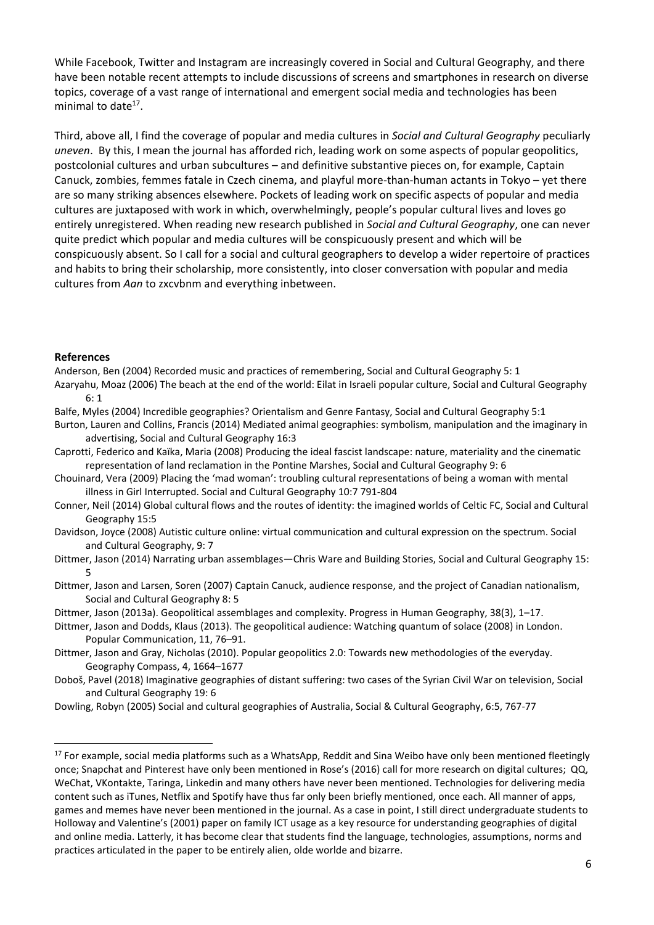While Facebook, Twitter and Instagram are increasingly covered in Social and Cultural Geography, and there have been notable recent attempts to include discussions of screens and smartphones in research on diverse topics, coverage of a vast range of international and emergent social media and technologies has been minimal to date<sup>17</sup>.

Third, above all, I find the coverage of popular and media cultures in *Social and Cultural Geography* peculiarly *uneven*. By this, I mean the journal has afforded rich, leading work on some aspects of popular geopolitics, postcolonial cultures and urban subcultures – and definitive substantive pieces on, for example, Captain Canuck, zombies, femmes fatale in Czech cinema, and playful more-than-human actants in Tokyo – yet there are so many striking absences elsewhere. Pockets of leading work on specific aspects of popular and media cultures are juxtaposed with work in which, overwhelmingly, people's popular cultural lives and loves go entirely unregistered. When reading new research published in *Social and Cultural Geography*, one can never quite predict which popular and media cultures will be conspicuously present and which will be conspicuously absent. So I call for a social and cultural geographers to develop a wider repertoire of practices and habits to bring their scholarship, more consistently, into closer conversation with popular and media cultures from *Aan* to zxcvbnm and everything inbetween.

#### **References**

 $\overline{\phantom{a}}$ 

Anderson, Ben (2004) Recorded music and practices of remembering, Social and Cultural Geography 5: 1

- Azaryahu, Moaz (2006) The beach at the end of the world: Eilat in Israeli popular culture, Social and Cultural Geography 6: 1
- Balfe, Myles (2004) Incredible geographies? Orientalism and Genre Fantasy, Social and Cultural Geography 5:1
- Burton, Lauren and Collins, Francis (2014) Mediated animal geographies: symbolism, manipulation and the imaginary in advertising, Social and Cultural Geography 16:3
- Caprotti, Federico and Kaïka, Maria (2008) Producing the ideal fascist landscape: nature, materiality and the cinematic representation of land reclamation in the Pontine Marshes, Social and Cultural Geography 9: 6
- Chouinard, Vera (2009) Placing the 'mad woman': troubling cultural representations of being a woman with mental illness in Girl Interrupted. Social and Cultural Geography 10:7 791-804
- Conner, Neil (2014) Global cultural flows and the routes of identity: the imagined worlds of Celtic FC, Social and Cultural Geography 15:5
- Davidson, Joyce (2008) Autistic culture online: virtual communication and cultural expression on the spectrum. Social and Cultural Geography, 9: 7
- Dittmer, Jason (2014) Narrating urban assemblages—Chris Ware and Building Stories, Social and Cultural Geography 15: 5
- Dittmer, Jason and Larsen, Soren (2007) Captain Canuck, audience response, and the project of Canadian nationalism, Social and Cultural Geography 8: 5
- Dittmer, Jason (2013a). Geopolitical assemblages and complexity. Progress in Human Geography, 38(3), 1–17.
- Dittmer, Jason and Dodds, Klaus (2013). The geopolitical audience: Watching quantum of solace (2008) in London. Popular Communication, 11, 76–91.
- Dittmer, Jason and Gray, Nicholas (2010). Popular geopolitics 2.0: Towards new methodologies of the everyday. Geography Compass, 4, 1664–1677
- Doboš, Pavel (2018) Imaginative geographies of distant suffering: two cases of the Syrian Civil War on television, Social and Cultural Geography 19: 6
- Dowling, Robyn (2005) Social and cultural geographies of Australia, Social & Cultural Geography, 6:5, 767-77

 $17$  For example, social media platforms such as a WhatsApp, Reddit and Sina Weibo have only been mentioned fleetingly once; Snapchat and Pinterest have only been mentioned in Rose's (2016) call for more research on digital cultures; QQ, WeChat, VKontakte, Taringa, Linkedin and many others have never been mentioned. Technologies for delivering media content such as iTunes, Netflix and Spotify have thus far only been briefly mentioned, once each. All manner of apps, games and memes have never been mentioned in the journal. As a case in point, I still direct undergraduate students to Holloway and Valentine's (2001) paper on family ICT usage as a key resource for understanding geographies of digital and online media. Latterly, it has become clear that students find the language, technologies, assumptions, norms and practices articulated in the paper to be entirely alien, olde worlde and bizarre.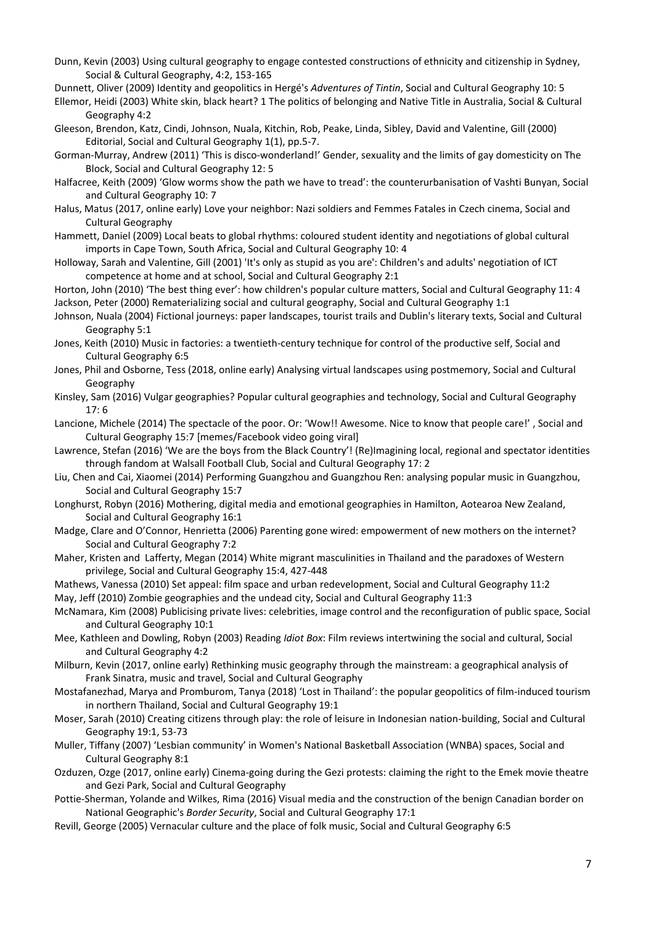- Dunn, Kevin (2003) Using cultural geography to engage contested constructions of ethnicity and citizenship in Sydney, Social & Cultural Geography, 4:2, 153-165
- Dunnett, Oliver (2009) Identity and geopolitics in Hergé's *Adventures of Tintin*, Social and Cultural Geography 10: 5
- Ellemor, Heidi (2003) White skin, black heart? 1 The politics of belonging and Native Title in Australia, Social & Cultural Geography 4:2
- Gleeson, Brendon, Katz, Cindi, Johnson, Nuala, Kitchin, Rob, Peake, Linda, Sibley, David and Valentine, Gill (2000) Editorial, Social and Cultural Geography 1(1), pp.5-7.
- Gorman-Murray, Andrew (2011) 'This is disco-wonderland!' Gender, sexuality and the limits of gay domesticity on The Block, Social and Cultural Geography 12: 5
- Halfacree, Keith (2009) 'Glow worms show the path we have to tread': the counterurbanisation of Vashti Bunyan, Social and Cultural Geography 10: 7
- Halus, Matus (2017, online early) Love your neighbor: Nazi soldiers and Femmes Fatales in Czech cinema, Social and Cultural Geography
- Hammett, Daniel (2009) Local beats to global rhythms: coloured student identity and negotiations of global cultural imports in Cape Town, South Africa, Social and Cultural Geography 10: 4
- Holloway, Sarah and Valentine, Gill (2001) 'It's only as stupid as you are': Children's and adults' negotiation of ICT competence at home and at school, Social and Cultural Geography 2:1
- Horton, John (2010) 'The best thing ever': how children's popular culture matters, Social and Cultural Geography 11: 4 Jackson, Peter (2000) Rematerializing social and cultural geography, Social and Cultural Geography 1:1
- Johnson, Nuala (2004) Fictional journeys: paper landscapes, tourist trails and Dublin's literary texts, Social and Cultural Geography 5:1
- Jones, Keith (2010) Music in factories: a twentieth-century technique for control of the productive self, Social and Cultural Geography 6:5
- Jones, Phil and Osborne, Tess (2018, online early) Analysing virtual landscapes using postmemory, Social and Cultural Geography
- Kinsley, Sam (2016) Vulgar geographies? Popular cultural geographies and technology, Social and Cultural Geography 17: 6
- Lancione, Michele (2014) The spectacle of the poor. Or: 'Wow!! Awesome. Nice to know that people care!' , Social and Cultural Geography 15:7 [memes/Facebook video going viral]
- Lawrence, Stefan (2016) 'We are the boys from the Black Country'! (Re)Imagining local, regional and spectator identities through fandom at Walsall Football Club, Social and Cultural Geography 17: 2
- Liu, Chen and Cai, Xiaomei (2014) Performing Guangzhou and Guangzhou Ren: analysing popular music in Guangzhou, Social and Cultural Geography 15:7
- Longhurst, Robyn (2016) Mothering, digital media and emotional geographies in Hamilton, Aotearoa New Zealand, Social and Cultural Geography 16:1
- Madge, Clare and O'Connor, Henrietta (2006) Parenting gone wired: empowerment of new mothers on the internet? Social and Cultural Geography 7:2
- Maher, Kristen and Lafferty, Megan (2014) White migrant masculinities in Thailand and the paradoxes of Western privilege, Social and Cultural Geography 15:4, 427-448

Mathews, Vanessa (2010) Set appeal: film space and urban redevelopment, Social and Cultural Geography 11:2 May, Jeff (2010) Zombie geographies and the undead city, Social and Cultural Geography 11:3

- McNamara, Kim (2008) Publicising private lives: celebrities, image control and the reconfiguration of public space, Social and Cultural Geography 10:1
- Mee, Kathleen and Dowling, Robyn (2003) Reading *Idiot Box*: Film reviews intertwining the social and cultural, Social and Cultural Geography 4:2
- Milburn, Kevin (2017, online early) Rethinking music geography through the mainstream: a geographical analysis of Frank Sinatra, music and travel, Social and Cultural Geography
- Mostafanezhad, Marya and Promburom, Tanya (2018) 'Lost in Thailand': the popular geopolitics of film-induced tourism in northern Thailand, Social and Cultural Geography 19:1
- Moser, Sarah (2010) Creating citizens through play: the role of leisure in Indonesian nation-building, Social and Cultural Geography 19:1, 53-73
- Muller, Tiffany (2007) 'Lesbian community' in Women's National Basketball Association (WNBA) spaces, Social and Cultural Geography 8:1
- Ozduzen, Ozge (2017, online early) Cinema-going during the Gezi protests: claiming the right to the Emek movie theatre and Gezi Park, Social and Cultural Geography
- Pottie-Sherman, Yolande and Wilkes, Rima (2016) Visual media and the construction of the benign Canadian border on National Geographic's *Border Security*, Social and Cultural Geography 17:1
- Revill, George (2005) Vernacular culture and the place of folk music, Social and Cultural Geography 6:5